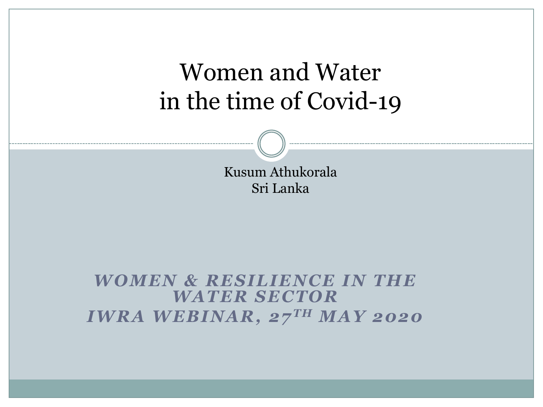Kusum Athukorala Sri Lanka

### *WOMEN & RESILIENCE IN THE WATER SECTOR IWRA WEBINAR, 27 TH MAY 2020*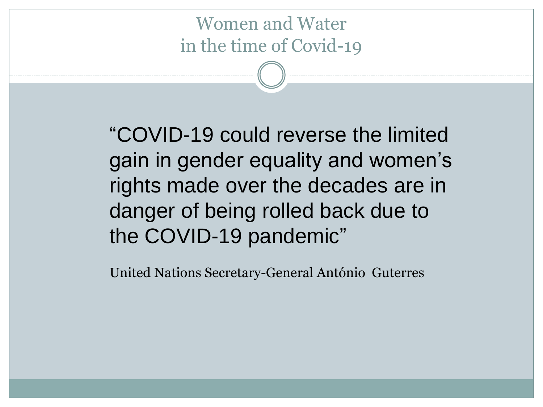"COVID-19 could reverse the limited gain in gender equality and women's rights made over the decades are in danger of being rolled back due to the COVID-19 pandemic"

United Nations Secretary-General António Guterres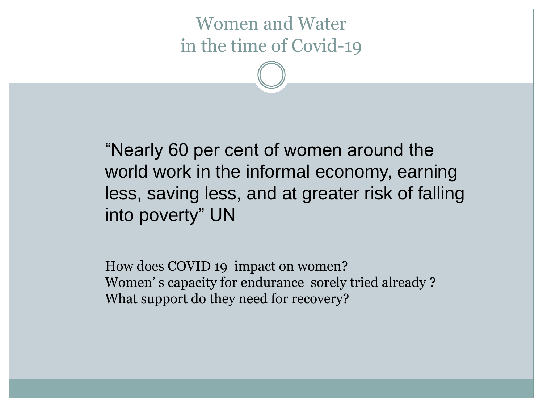"Nearly 60 per cent of women around the world work in the informal economy, earning less, saving less, and at greater risk of falling into poverty" UN

How does COVID 19 impact on women? Women' s capacity for endurance sorely tried already ? What support do they need for recovery?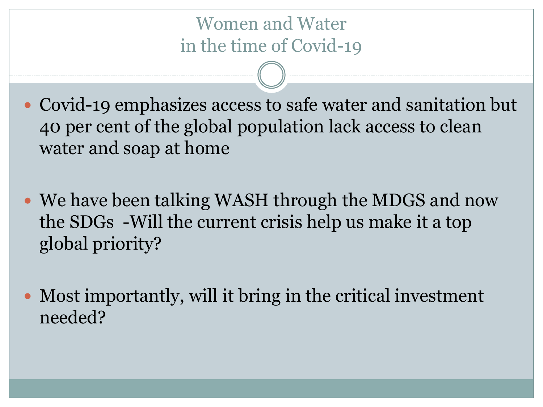Covid-19 emphasizes access to safe water and sanitation but 40 per cent of the global population lack access to clean water and soap at home

- We have been talking WASH through the MDGS and now the SDGs -Will the current crisis help us make it a top global priority?
- Most importantly, will it bring in the critical investment needed?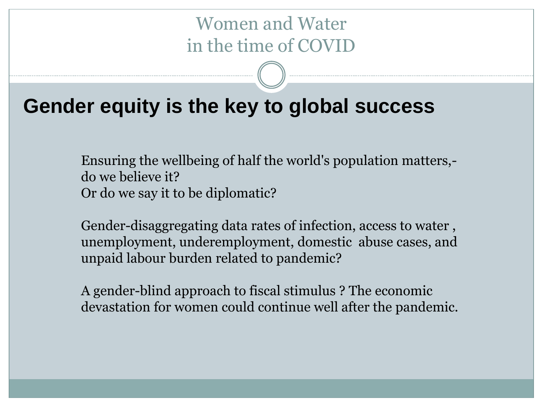# Women and Water in the time of COVID

# **Gender equity is the key to global success**

Ensuring the wellbeing of half the world's population matters, do we believe it? Or do we say it to be diplomatic?

Gender-disaggregating data rates of infection, access to water , unemployment, underemployment, domestic abuse cases, and unpaid labour burden related to pandemic?

A gender-blind approach to fiscal stimulus ? The economic devastation for women could continue well after the pandemic.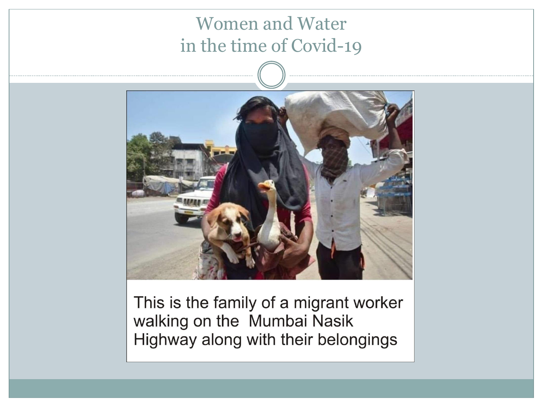

This is the family of a migrant worker walking on the Mumbai Nasik Highway along with their belongings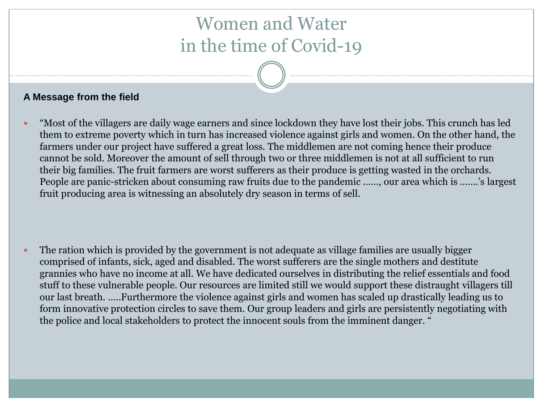#### **A Message from the field**

 "Most of the villagers are daily wage earners and since lockdown they have lost their jobs. This crunch has led them to extreme poverty which in turn has increased violence against girls and women. On the other hand, the farmers under our project have suffered a great loss. The middlemen are not coming hence their produce cannot be sold. Moreover the amount of sell through two or three middlemen is not at all sufficient to run their big families. The fruit farmers are worst sufferers as their produce is getting wasted in the orchards. People are panic-stricken about consuming raw fruits due to the pandemic ……, our area which is …….'s largest fruit producing area is witnessing an absolutely dry season in terms of sell.

 The ration which is provided by the government is not adequate as village families are usually bigger comprised of infants, sick, aged and disabled. The worst sufferers are the single mothers and destitute grannies who have no income at all. We have dedicated ourselves in distributing the relief essentials and food stuff to these vulnerable people. Our resources are limited still we would support these distraught villagers till our last breath. …..Furthermore the violence against girls and women has scaled up drastically leading us to form innovative protection circles to save them. Our group leaders and girls are persistently negotiating with the police and local stakeholders to protect the innocent souls from the imminent danger. "